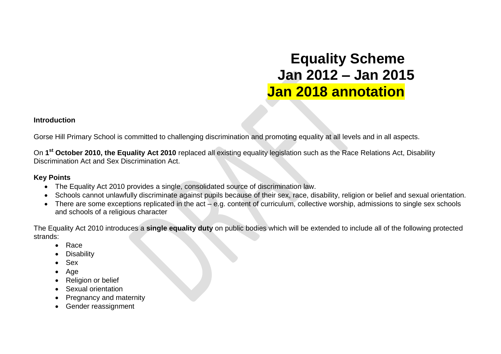# **Equality Scheme Jan 2012 – Jan 2015 Jan 2018 annotation**

#### **Introduction**

Gorse Hill Primary School is committed to challenging discrimination and promoting equality at all levels and in all aspects.

On **1 st October 2010, the Equality Act 2010** replaced all existing equality legislation such as the Race Relations Act, Disability Discrimination Act and Sex Discrimination Act.

#### **Key Points**

- The Equality Act 2010 provides a single, consolidated source of discrimination law.
- Schools cannot unlawfully discriminate against pupils because of their sex, race, disability, religion or belief and sexual orientation.
- There are some exceptions replicated in the act e.g. content of curriculum, collective worship, admissions to single sex schools and schools of a religious character

The Equality Act 2010 introduces a **single equality duty** on public bodies which will be extended to include all of the following protected strands:

- Race
- **Disability**
- Sex
- Age
- Religion or belief
- Sexual orientation
- Pregnancy and maternity
- Gender reassignment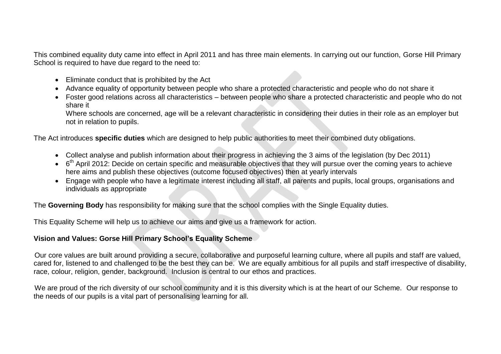This combined equality duty came into effect in April 2011 and has three main elements. In carrying out our function, Gorse Hill Primary School is required to have due regard to the need to:

- Eliminate conduct that is prohibited by the Act
- Advance equality of opportunity between people who share a protected characteristic and people who do not share it
- Foster good relations across all characteristics between people who share a protected characteristic and people who do not share it

Where schools are concerned, age will be a relevant characteristic in considering their duties in their role as an employer but not in relation to pupils.

The Act introduces **specific duties** which are designed to help public authorities to meet their combined duty obligations.

- Collect analyse and publish information about their progress in achieving the 3 aims of the legislation (by Dec 2011)
- $\bullet$  6<sup>th</sup> April 2012: Decide on certain specific and measurable objectives that they will pursue over the coming years to achieve here aims and publish these objectives (outcome focused objectives) then at yearly intervals
- Engage with people who have a legitimate interest including all staff, all parents and pupils, local groups, organisations and individuals as appropriate

The **Governing Body** has responsibility for making sure that the school complies with the Single Equality duties.

This Equality Scheme will help us to achieve our aims and give us a framework for action.

#### **Vision and Values: Gorse Hill Primary School's Equality Scheme**

Our core values are built around providing a secure, collaborative and purposeful learning culture, where all pupils and staff are valued, cared for, listened to and challenged to be the best they can be. We are equally ambitious for all pupils and staff irrespective of disability, race, colour, religion, gender, background. Inclusion is central to our ethos and practices.

We are proud of the rich diversity of our school community and it is this diversity which is at the heart of our Scheme. Our response to the needs of our pupils is a vital part of personalising learning for all.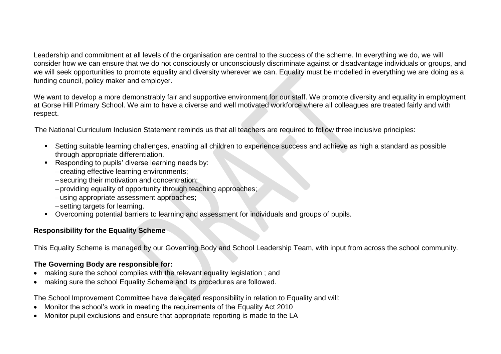Leadership and commitment at all levels of the organisation are central to the success of the scheme. In everything we do, we will consider how we can ensure that we do not consciously or unconsciously discriminate against or disadvantage individuals or groups, and we will seek opportunities to promote equality and diversity wherever we can. Equality must be modelled in everything we are doing as a funding council, policy maker and employer.

We want to develop a more demonstrably fair and supportive environment for our staff. We promote diversity and equality in employment at Gorse Hill Primary School. We aim to have a diverse and well motivated workforce where all colleagues are treated fairly and with respect.

The National Curriculum Inclusion Statement reminds us that all teachers are required to follow three inclusive principles:

- Setting suitable learning challenges, enabling all children to experience success and achieve as high a standard as possible through appropriate differentiation.
- Responding to pupils' diverse learning needs by:
	- creating effective learning environments:
	- securing their motivation and concentration;
	- providing equality of opportunity through teaching approaches;
	- using appropriate assessment approaches;
	- -setting targets for learning.
- Overcoming potential barriers to learning and assessment for individuals and groups of pupils.

#### **Responsibility for the Equality Scheme**

This Equality Scheme is managed by our Governing Body and School Leadership Team, with input from across the school community.

#### **The Governing Body are responsible for:**

- making sure the school complies with the relevant equality legislation ; and
- making sure the school Equality Scheme and its procedures are followed.

The School Improvement Committee have delegated responsibility in relation to Equality and will:

- Monitor the school's work in meeting the requirements of the Equality Act 2010
- Monitor pupil exclusions and ensure that appropriate reporting is made to the LA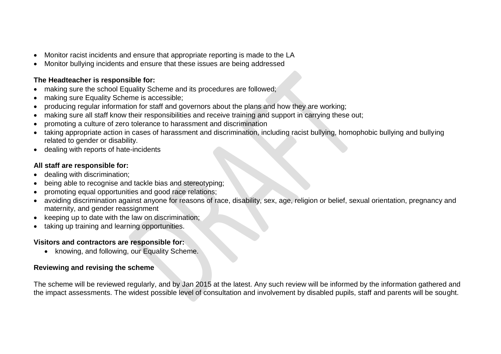- Monitor racist incidents and ensure that appropriate reporting is made to the LA
- Monitor bullying incidents and ensure that these issues are being addressed

#### **The Headteacher is responsible for:**

- making sure the school Equality Scheme and its procedures are followed;
- making sure Equality Scheme is accessible;
- producing regular information for staff and governors about the plans and how they are working;
- making sure all staff know their responsibilities and receive training and support in carrying these out;
- promoting a culture of zero tolerance to harassment and discrimination
- taking appropriate action in cases of harassment and discrimination, including racist bullying, homophobic bullying and bullying related to gender or disability.
- dealing with reports of hate-incidents

#### **All staff are responsible for:**

- dealing with discrimination;
- being able to recognise and tackle bias and stereotyping;
- promoting equal opportunities and good race relations;
- avoiding discrimination against anyone for reasons of race, disability, sex, age, religion or belief, sexual orientation, pregnancy and maternity, and gender reassignment
- $\bullet$  keeping up to date with the law on discrimination;
- taking up training and learning opportunities.

#### **Visitors and contractors are responsible for:**

• knowing, and following, our Equality Scheme.

#### **Reviewing and revising the scheme**

The scheme will be reviewed regularly, and by Jan 2015 at the latest. Any such review will be informed by the information gathered and the impact assessments. The widest possible level of consultation and involvement by disabled pupils, staff and parents will be sought.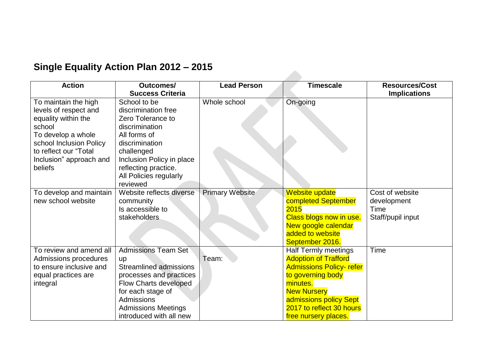## **Single Equality Action Plan 2012 – 2015**

| <b>Action</b>                                                                                                                                                                                  | Outcomes/<br><b>Success Criteria</b>                                                                                                                                                                                            | <b>Lead Person</b> | <b>Timescale</b>                                                                                                                                                                                                                  | <b>Resources/Cost</b><br><b>Implications</b>                |
|------------------------------------------------------------------------------------------------------------------------------------------------------------------------------------------------|---------------------------------------------------------------------------------------------------------------------------------------------------------------------------------------------------------------------------------|--------------------|-----------------------------------------------------------------------------------------------------------------------------------------------------------------------------------------------------------------------------------|-------------------------------------------------------------|
| To maintain the high<br>levels of respect and<br>equality within the<br>school<br>To develop a whole<br>school Inclusion Policy<br>to reflect our "Total<br>Inclusion" approach and<br>beliefs | School to be<br>discrimination free<br>Zero Tolerance to<br>discrimination<br>All forms of<br>discrimination<br>challenged<br>Inclusion Policy in place<br>reflecting practice.<br>All Policies regularly                       | Whole school       | On-going                                                                                                                                                                                                                          |                                                             |
| To develop and maintain<br>new school website                                                                                                                                                  | reviewed<br>Website reflects diverse<br>community<br>Is accessible to<br>stakeholders                                                                                                                                           | Primary Website    | Website update<br>completed September<br>2015<br>Class blogs now in use.<br>New google calendar<br>added to website<br>September 2016.                                                                                            | Cost of website<br>development<br>Time<br>Staff/pupil input |
| To review and amend all<br>Admissions procedures<br>to ensure inclusive and<br>equal practices are<br>integral                                                                                 | <b>Admissions Team Set</b><br><b>up</b><br><b>Streamlined admissions</b><br>processes and practices<br>Flow Charts developed<br>for each stage of<br><b>Admissions</b><br><b>Admissions Meetings</b><br>introduced with all new | Team:              | <b>Half Termly meetings</b><br><b>Adoption of Trafford</b><br><b>Admissions Policy-refer</b><br>to governing body<br>minutes.<br><b>New Nursery</b><br>admissions policy Sept<br>2017 to reflect 30 hours<br>free nursery places. | Time                                                        |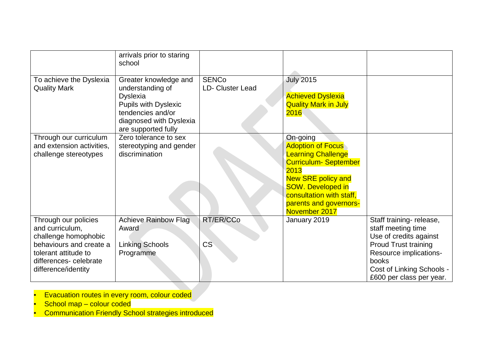|                                                                                                                                                                     | arrivals prior to staring<br>school                                                                                                                                |                                         |                                                                                                                                                                                                                                           |                                                                                                                                                                                                    |
|---------------------------------------------------------------------------------------------------------------------------------------------------------------------|--------------------------------------------------------------------------------------------------------------------------------------------------------------------|-----------------------------------------|-------------------------------------------------------------------------------------------------------------------------------------------------------------------------------------------------------------------------------------------|----------------------------------------------------------------------------------------------------------------------------------------------------------------------------------------------------|
| To achieve the Dyslexia<br><b>Quality Mark</b>                                                                                                                      | Greater knowledge and<br>understanding of<br><b>Dyslexia</b><br><b>Pupils with Dyslexic</b><br>tendencies and/or<br>diagnosed with Dyslexia<br>are supported fully | <b>SENCo</b><br><b>LD- Cluster Lead</b> | <b>July 2015</b><br><b>Achieved Dyslexia</b><br><b>Quality Mark in July</b><br>2016                                                                                                                                                       |                                                                                                                                                                                                    |
| Through our curriculum<br>and extension activities,<br>challenge stereotypes                                                                                        | Zero tolerance to sex<br>stereotyping and gender<br>discrimination                                                                                                 |                                         | On-going<br><b>Adoption of Focus</b><br><b>Learning Challenge</b><br><b>Curriculum- September</b><br>2013<br><b>New SRE policy and</b><br><b>SOW. Developed in</b><br>consultation with staff,<br>parents and governors-<br>November 2017 |                                                                                                                                                                                                    |
| Through our policies<br>and curriculum,<br>challenge homophobic<br>behaviours and create a<br>tolerant attitude to<br>differences- celebrate<br>difference/identity | Achieve Rainbow Flag<br>Award<br><b>Linking Schools</b><br>Programme                                                                                               | RT/ER/CCo<br>CS                         | January 2019                                                                                                                                                                                                                              | Staff training-release,<br>staff meeting time<br>Use of credits against<br><b>Proud Trust training</b><br>Resource implications-<br>books<br>Cost of Linking Schools -<br>£600 per class per year. |

- **Evacuation routes in every room, colour coded**
- $S$ chool map colour coded
- **Communication Friendly School strategies introduced**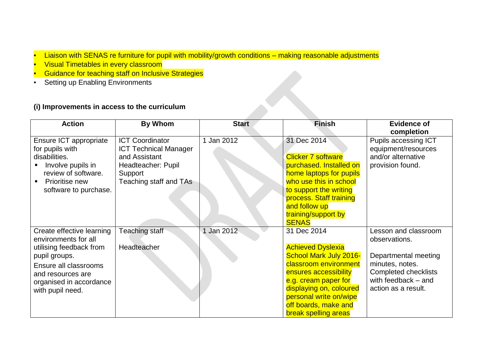- Liaison with SENAS re furniture for pupil with mobility/growth conditions making reasonable adjustments
- **Visual Timetables in every classroom**
- **Guidance for teaching staff on Inclusive Strategies**
- **Setting up Enabling Environments**

#### **(i) Improvements in access to the curriculum**

| <b>Action</b>                                                                                                                                                                              | By Whom                                                                                                                            | <b>Start</b> | <b>Finish</b>                                                                                                                                                                                                                                                  | <b>Evidence of</b>                                                                                                                                            |
|--------------------------------------------------------------------------------------------------------------------------------------------------------------------------------------------|------------------------------------------------------------------------------------------------------------------------------------|--------------|----------------------------------------------------------------------------------------------------------------------------------------------------------------------------------------------------------------------------------------------------------------|---------------------------------------------------------------------------------------------------------------------------------------------------------------|
| Ensure ICT appropriate<br>for pupils with<br>disabilities.<br>Involve pupils in<br>review of software.<br>Prioritise new<br>software to purchase.                                          | <b>ICT Coordinator</b><br><b>ICT Technical Manager</b><br>and Assistant<br>Headteacher: Pupil<br>Support<br>Teaching staff and TAs | 1 Jan 2012   | 31 Dec 2014<br><b>Clicker 7 software</b><br>purchased. Installed on<br>home laptops for pupils<br>who use this in school<br>to support the writing<br>process. Staff training<br>and follow up<br>training/support by<br><b>SENAS</b>                          | completion<br>Pupils accessing ICT<br>equipment/resources<br>and/or alternative<br>provision found.                                                           |
| Create effective learning<br>environments for all<br>utilising feedback from<br>pupil groups.<br>Ensure all classrooms<br>and resources are<br>organised in accordance<br>with pupil need. | Teaching staff<br>Headteacher                                                                                                      | Jan 2012     | 31 Dec 2014<br><b>Achieved Dyslexia</b><br><b>School Mark July 2016-</b><br>classroom environment<br>ensures accessibility<br>e.g. cream paper for<br>displaying on, coloured<br>personal write on/wipe<br>off boards, make and<br><b>break spelling areas</b> | Lesson and classroom<br>observations.<br>Departmental meeting<br>minutes, notes.<br><b>Completed checklists</b><br>with feedback - and<br>action as a result. |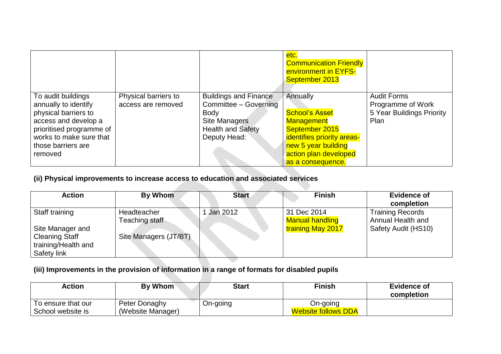|                          |                      |                              | etc.<br><b>Communication Friendly</b><br>environment in EYFS-<br>September 2013 |                           |
|--------------------------|----------------------|------------------------------|---------------------------------------------------------------------------------|---------------------------|
| To audit buildings       | Physical barriers to | <b>Buildings and Finance</b> | Annually                                                                        | <b>Audit Forms</b>        |
| annually to identify     | access are removed   | Committee - Governing        | <b>School's Asset</b>                                                           | Programme of Work         |
| physical barriers to     |                      | <b>Body</b>                  |                                                                                 | 5 Year Buildings Priority |
| access and develop a     |                      | <b>Site Managers</b>         | <b>Management</b>                                                               | Plan                      |
| prioritised programme of |                      | <b>Health and Safety</b>     | September 2015                                                                  |                           |
| works to make sure that  |                      | Deputy Head:                 | identifies priority areas-                                                      |                           |
| those barriers are       |                      |                              | new 5 year building                                                             |                           |
| removed                  |                      |                              | action plan developed                                                           |                           |
|                          |                      |                              | as a consequence.                                                               |                           |

#### **(ii) Physical improvements to increase access to education and associated services**

| <b>Action</b>                                                                   | By Whom                       | <b>Start</b> | <b>Finish</b>                         | <b>Evidence of</b><br>completion             |
|---------------------------------------------------------------------------------|-------------------------------|--------------|---------------------------------------|----------------------------------------------|
| Staff training                                                                  | Headteacher<br>Teaching staff | Jan 2012     | 31 Dec 2014<br><b>Manual handling</b> | <b>Training Records</b><br>Annual Health and |
| Site Manager and<br><b>Cleaning Staff</b><br>training/Health and<br>Safety link | Site Managers (JT/BT)         |              | training May 2017                     | Safety Audit (HS10)                          |

### **(iii) Improvements in the provision of information in a range of formats for disabled pupils**

| Action                                  | By Whom                            | <b>Start</b> | <b>Finish</b>                          | <b>Evidence of</b><br>completion |
|-----------------------------------------|------------------------------------|--------------|----------------------------------------|----------------------------------|
| To ensure that our<br>School website is | Peter Donaghy<br>(Website Manager) | On-going     | On-going<br><b>Website follows DDA</b> |                                  |